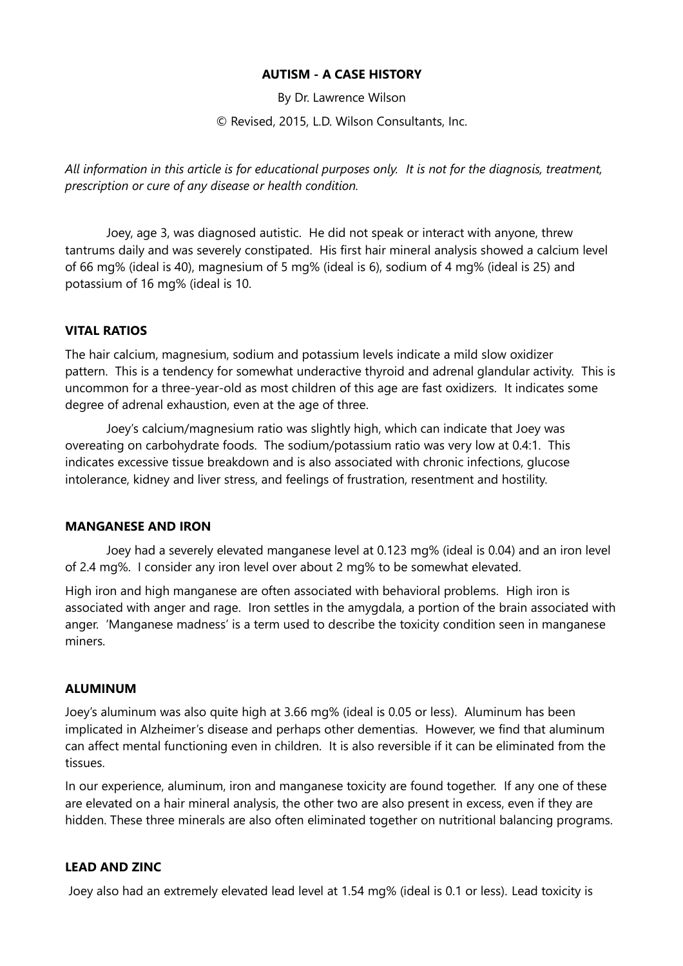## **AUTISM - A CASE HISTORY**

By Dr. Lawrence Wilson

© Revised, 2015, L.D. Wilson Consultants, Inc.

*All information in this article is for educational purposes only. It is not for the diagnosis, treatment, prescription or cure of any disease or health condition.*

Joey, age 3, was diagnosed autistic. He did not speak or interact with anyone, threw tantrums daily and was severely constipated. His first hair mineral analysis showed a calcium level of 66 mg% (ideal is 40), magnesium of 5 mg% (ideal is 6), sodium of 4 mg% (ideal is 25) and potassium of 16 mg% (ideal is 10.

### **VITAL RATIOS**

The hair calcium, magnesium, sodium and potassium levels indicate a mild slow oxidizer pattern. This is a tendency for somewhat underactive thyroid and adrenal glandular activity. This is uncommon for a three-year-old as most children of this age are fast oxidizers. It indicates some degree of adrenal exhaustion, even at the age of three.

Joey's calcium/magnesium ratio was slightly high, which can indicate that Joey was overeating on carbohydrate foods. The sodium/potassium ratio was very low at 0.4:1. This indicates excessive tissue breakdown and is also associated with chronic infections, glucose intolerance, kidney and liver stress, and feelings of frustration, resentment and hostility.

#### **MANGANESE AND IRON**

Joey had a severely elevated manganese level at 0.123 mg% (ideal is 0.04) and an iron level of 2.4 mg%. I consider any iron level over about 2 mg% to be somewhat elevated.

High iron and high manganese are often associated with behavioral problems. High iron is associated with anger and rage. Iron settles in the amygdala, a portion of the brain associated with anger. 'Manganese madness' is a term used to describe the toxicity condition seen in manganese miners.

#### **ALUMINUM**

Joey's aluminum was also quite high at 3.66 mg% (ideal is 0.05 or less). Aluminum has been implicated in Alzheimer's disease and perhaps other dementias. However, we find that aluminum can affect mental functioning even in children. It is also reversible if it can be eliminated from the tissues.

In our experience, aluminum, iron and manganese toxicity are found together. If any one of these are elevated on a hair mineral analysis, the other two are also present in excess, even if they are hidden. These three minerals are also often eliminated together on nutritional balancing programs.

#### **LEAD AND ZINC**

Joey also had an extremely elevated lead level at 1.54 mg% (ideal is 0.1 or less). Lead toxicity is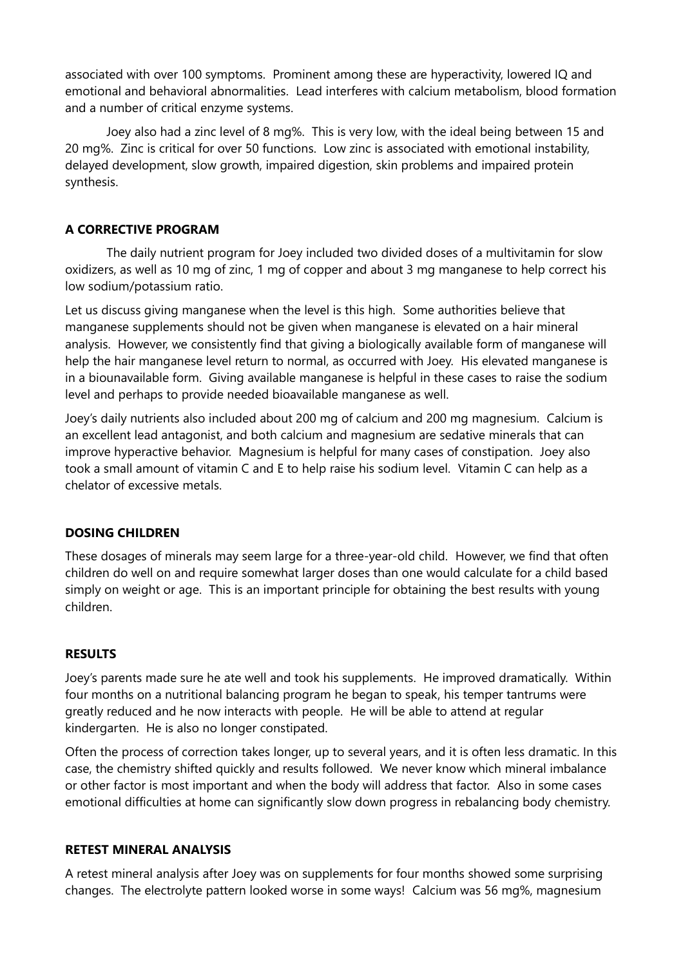associated with over 100 symptoms. Prominent among these are hyperactivity, lowered IQ and emotional and behavioral abnormalities. Lead interferes with calcium metabolism, blood formation and a number of critical enzyme systems.

Joey also had a zinc level of 8 mg%. This is very low, with the ideal being between 15 and 20 mg%. Zinc is critical for over 50 functions. Low zinc is associated with emotional instability, delayed development, slow growth, impaired digestion, skin problems and impaired protein synthesis.

## **A CORRECTIVE PROGRAM**

The daily nutrient program for Joey included two divided doses of a multivitamin for slow oxidizers, as well as 10 mg of zinc, 1 mg of copper and about 3 mg manganese to help correct his low sodium/potassium ratio.

Let us discuss giving manganese when the level is this high. Some authorities believe that manganese supplements should not be given when manganese is elevated on a hair mineral analysis. However, we consistently find that giving a biologically available form of manganese will help the hair manganese level return to normal, as occurred with Joey. His elevated manganese is in a biounavailable form. Giving available manganese is helpful in these cases to raise the sodium level and perhaps to provide needed bioavailable manganese as well.

Joey's daily nutrients also included about 200 mg of calcium and 200 mg magnesium. Calcium is an excellent lead antagonist, and both calcium and magnesium are sedative minerals that can improve hyperactive behavior. Magnesium is helpful for many cases of constipation. Joey also took a small amount of vitamin C and E to help raise his sodium level. Vitamin C can help as a chelator of excessive metals.

## **DOSING CHILDREN**

These dosages of minerals may seem large for a three-year-old child. However, we find that often children do well on and require somewhat larger doses than one would calculate for a child based simply on weight or age. This is an important principle for obtaining the best results with young children.

## **RESULTS**

Joey's parents made sure he ate well and took his supplements. He improved dramatically. Within four months on a nutritional balancing program he began to speak, his temper tantrums were greatly reduced and he now interacts with people. He will be able to attend at regular kindergarten. He is also no longer constipated.

Often the process of correction takes longer, up to several years, and it is often less dramatic. In this case, the chemistry shifted quickly and results followed. We never know which mineral imbalance or other factor is most important and when the body will address that factor. Also in some cases emotional difficulties at home can significantly slow down progress in rebalancing body chemistry.

## **RETEST MINERAL ANALYSIS**

A retest mineral analysis after Joey was on supplements for four months showed some surprising changes. The electrolyte pattern looked worse in some ways! Calcium was 56 mg%, magnesium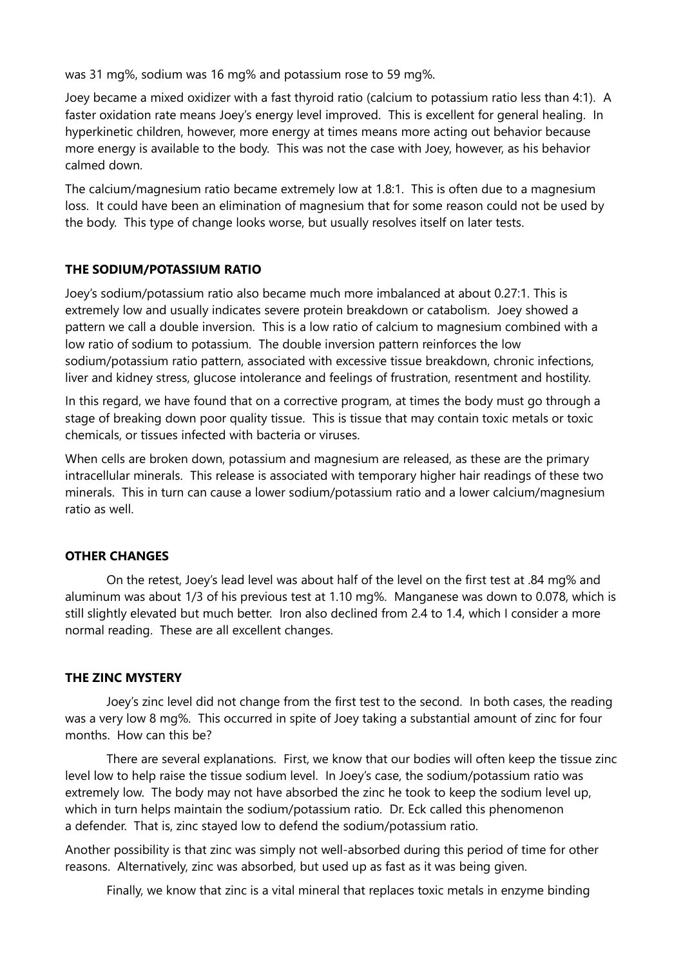was 31 mg%, sodium was 16 mg% and potassium rose to 59 mg%.

Joey became a mixed oxidizer with a fast thyroid ratio (calcium to potassium ratio less than 4:1). A faster oxidation rate means Joey's energy level improved. This is excellent for general healing. In hyperkinetic children, however, more energy at times means more acting out behavior because more energy is available to the body. This was not the case with Joey, however, as his behavior calmed down.

The calcium/magnesium ratio became extremely low at 1.8:1. This is often due to a magnesium loss. It could have been an elimination of magnesium that for some reason could not be used by the body. This type of change looks worse, but usually resolves itself on later tests.

## **THE SODIUM/POTASSIUM RATIO**

Joey's sodium/potassium ratio also became much more imbalanced at about 0.27:1. This is extremely low and usually indicates severe protein breakdown or catabolism. Joey showed a pattern we call a double inversion. This is a low ratio of calcium to magnesium combined with a low ratio of sodium to potassium. The double inversion pattern reinforces the low sodium/potassium ratio pattern, associated with excessive tissue breakdown, chronic infections, liver and kidney stress, glucose intolerance and feelings of frustration, resentment and hostility.

In this regard, we have found that on a corrective program, at times the body must go through a stage of breaking down poor quality tissue. This is tissue that may contain toxic metals or toxic chemicals, or tissues infected with bacteria or viruses.

When cells are broken down, potassium and magnesium are released, as these are the primary intracellular minerals. This release is associated with temporary higher hair readings of these two minerals. This in turn can cause a lower sodium/potassium ratio and a lower calcium/magnesium ratio as well.

#### **OTHER CHANGES**

On the retest, Joey's lead level was about half of the level on the first test at .84 mg% and aluminum was about 1/3 of his previous test at 1.10 mg%. Manganese was down to 0.078, which is still slightly elevated but much better. Iron also declined from 2.4 to 1.4, which I consider a more normal reading. These are all excellent changes.

#### **THE ZINC MYSTERY**

Joey's zinc level did not change from the first test to the second. In both cases, the reading was a very low 8 mg%. This occurred in spite of Joey taking a substantial amount of zinc for four months. How can this be?

There are several explanations. First, we know that our bodies will often keep the tissue zinc level low to help raise the tissue sodium level. In Joey's case, the sodium/potassium ratio was extremely low. The body may not have absorbed the zinc he took to keep the sodium level up, which in turn helps maintain the sodium/potassium ratio. Dr. Eck called this phenomenon a defender. That is, zinc stayed low to defend the sodium/potassium ratio.

Another possibility is that zinc was simply not well-absorbed during this period of time for other reasons. Alternatively, zinc was absorbed, but used up as fast as it was being given.

Finally, we know that zinc is a vital mineral that replaces toxic metals in enzyme binding